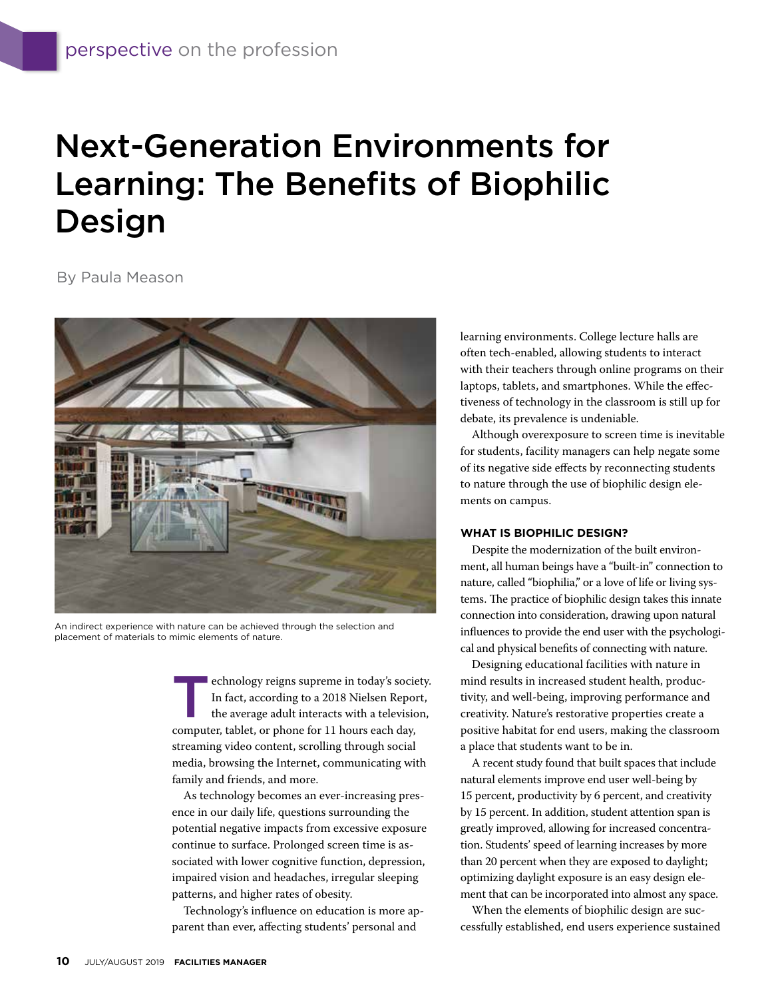## Next-Generation Environments for Learning: The Benefits of Biophilic Design

By Paula Meason



An indirect experience with nature can be achieved through the selection and placement of materials to mimic elements of nature.

Euchnology reigns supreme in today's society.<br>
In fact, according to a 2018 Nielsen Report,<br>
the average adult interacts with a television,<br>
commuter teblet, or phone for 11 hours each day. In fact, according to a 2018 Nielsen Report, computer, tablet, or phone for 11 hours each day, streaming video content, scrolling through social media, browsing the Internet, communicating with family and friends, and more.

As technology becomes an ever-increasing presence in our daily life, questions surrounding the potential negative impacts from excessive exposure continue to surface. Prolonged screen time is associated with lower cognitive function, depression, impaired vision and headaches, irregular sleeping patterns, and higher rates of obesity.

Technology's influence on education is more apparent than ever, affecting students' personal and

learning environments. College lecture halls are often tech-enabled, allowing students to interact with their teachers through online programs on their laptops, tablets, and smartphones. While the effectiveness of technology in the classroom is still up for debate, its prevalence is undeniable.

Although overexposure to screen time is inevitable for students, facility managers can help negate some of its negative side effects by reconnecting students to nature through the use of biophilic design elements on campus.

#### **WHAT IS BIOPHILIC DESIGN?**

Despite the modernization of the built environment, all human beings have a "built-in" connection to nature, called "biophilia," or a love of life or living systems. The practice of biophilic design takes this innate connection into consideration, drawing upon natural influences to provide the end user with the psychological and physical benefits of connecting with nature.

Designing educational facilities with nature in mind results in increased student health, productivity, and well-being, improving performance and creativity. Nature's restorative properties create a positive habitat for end users, making the classroom a place that students want to be in.

A recent study found that built spaces that include natural elements improve end user well-being by 15 percent, productivity by 6 percent, and creativity by 15 percent. In addition, student attention span is greatly improved, allowing for increased concentration. Students' speed of learning increases by more than 20 percent when they are exposed to daylight; optimizing daylight exposure is an easy design element that can be incorporated into almost any space.

When the elements of biophilic design are successfully established, end users experience sustained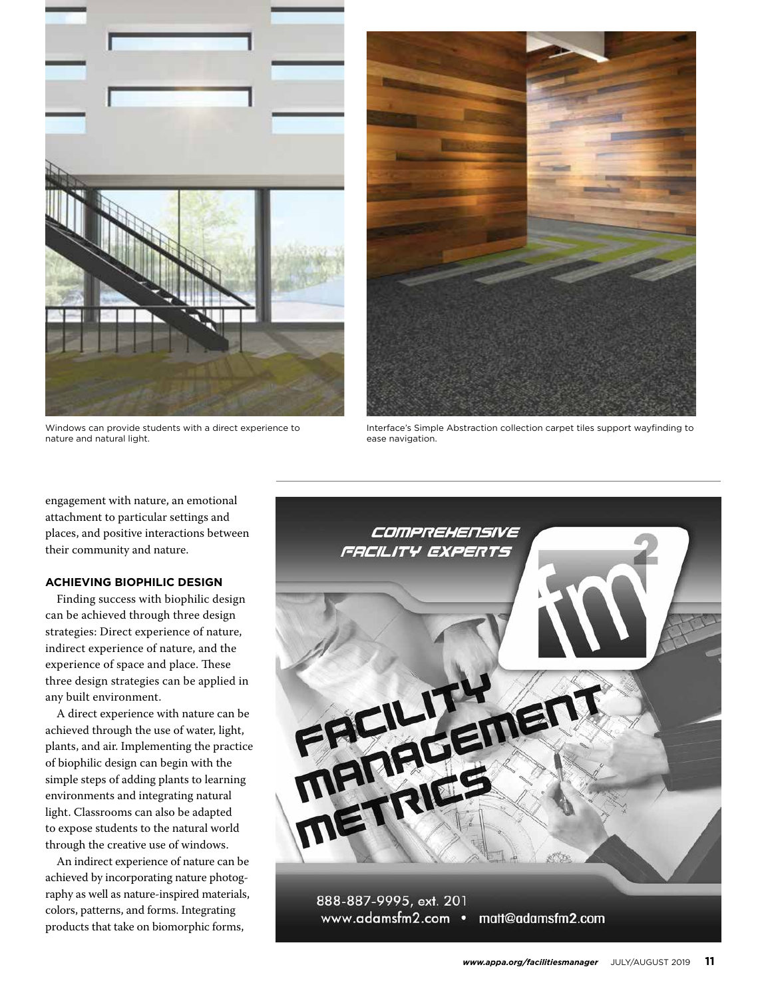

Windows can provide students with a direct experience to nature and natural light.



Interface's Simple Abstraction collection carpet tiles support wayfinding to ease navigation.

engagement with nature, an emotional attachment to particular settings and places, and positive interactions between their community and nature.

#### **ACHIEVING BIOPHILIC DESIGN**

Finding success with biophilic design can be achieved through three design strategies: Direct experience of nature, indirect experience of nature, and the experience of space and place. These three design strategies can be applied in any built environment.

A direct experience with nature can be achieved through the use of water, light, plants, and air. Implementing the practice of biophilic design can begin with the simple steps of adding plants to learning environments and integrating natural light. Classrooms can also be adapted to expose students to the natural world through the creative use of windows.

An indirect experience of nature can be achieved by incorporating nature photography as well as nature-inspired materials, colors, patterns, and forms. Integrating products that take on biomorphic forms,

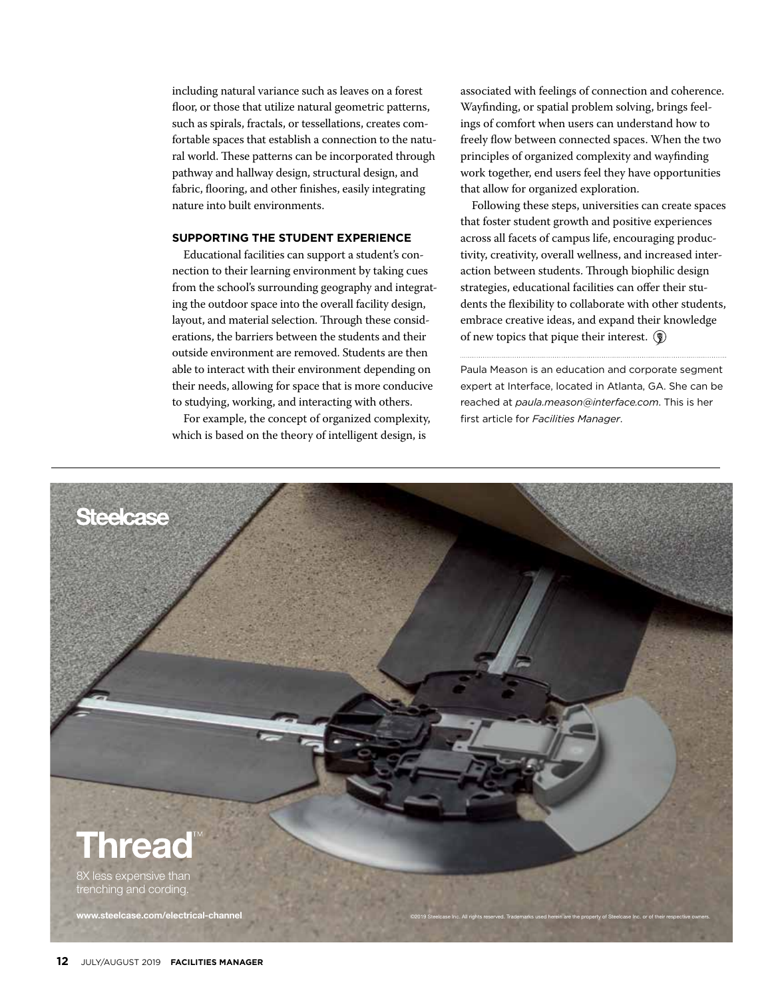including natural variance such as leaves on a forest floor, or those that utilize natural geometric patterns, such as spirals, fractals, or tessellations, creates comfortable spaces that establish a connection to the natural world. These patterns can be incorporated through pathway and hallway design, structural design, and fabric, flooring, and other finishes, easily integrating nature into built environments.

#### **SUPPORTING THE STUDENT EXPERIENCE**

Educational facilities can support a student's connection to their learning environment by taking cues from the school's surrounding geography and integrating the outdoor space into the overall facility design, layout, and material selection. Through these considerations, the barriers between the students and their outside environment are removed. Students are then able to interact with their environment depending on their needs, allowing for space that is more conducive to studying, working, and interacting with others.

For example, the concept of organized complexity, which is based on the theory of intelligent design, is

associated with feelings of connection and coherence. Wayfinding, or spatial problem solving, brings feelings of comfort when users can understand how to freely flow between connected spaces. When the two principles of organized complexity and wayfinding work together, end users feel they have opportunities that allow for organized exploration.

Following these steps, universities can create spaces that foster student growth and positive experiences across all facets of campus life, encouraging productivity, creativity, overall wellness, and increased interaction between students. Through biophilic design strategies, educational facilities can offer their students the flexibility to collaborate with other students, embrace creative ideas, and expand their knowledge of new topics that pique their interest.  $\circled{?}$ 

Paula Meason is an education and corporate segment expert at Interface, located in Atlanta, GA. She can be reached at *paula.meason@interface.com*. This is her first article for *Facilities Manager*.